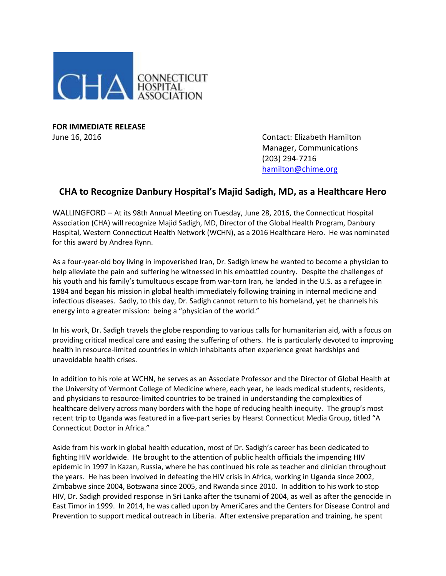

**FOR IMMEDIATE RELEASE**

June 16, 2016 Contact: Elizabeth Hamilton Manager, Communications (203) 294-7216 [hamilton@chime.org](mailto:hamilton@chime.org)

## **CHA to Recognize Danbury Hospital's Majid Sadigh, MD, as a Healthcare Hero**

WALLINGFORD – At its 98th Annual Meeting on Tuesday, June 28, 2016, the Connecticut Hospital Association (CHA) will recognize Majid Sadigh, MD, Director of the Global Health Program, Danbury Hospital, Western Connecticut Health Network (WCHN), as a 2016 Healthcare Hero. He was nominated for this award by Andrea Rynn.

As a four-year-old boy living in impoverished Iran, Dr. Sadigh knew he wanted to become a physician to help alleviate the pain and suffering he witnessed in his embattled country. Despite the challenges of his youth and his family's tumultuous escape from war-torn Iran, he landed in the U.S. as a refugee in 1984 and began his mission in global health immediately following training in internal medicine and infectious diseases. Sadly, to this day, Dr. Sadigh cannot return to his homeland, yet he channels his energy into a greater mission: being a "physician of the world."

In his work, Dr. Sadigh travels the globe responding to various calls for humanitarian aid, with a focus on providing critical medical care and easing the suffering of others. He is particularly devoted to improving health in resource-limited countries in which inhabitants often experience great hardships and unavoidable health crises.

In addition to his role at WCHN, he serves as an Associate Professor and the Director of Global Health at the University of Vermont College of Medicine where, each year, he leads medical students, residents, and physicians to resource-limited countries to be trained in understanding the complexities of healthcare delivery across many borders with the hope of reducing health inequity. The group's most recent trip to Uganda was featured in a five-part series by Hearst Connecticut Media Group, titled "A Connecticut Doctor in Africa."

Aside from his work in global health education, most of Dr. Sadigh's career has been dedicated to fighting HIV worldwide. He brought to the attention of public health officials the impending HIV epidemic in 1997 in Kazan, Russia, where he has continued his role as teacher and clinician throughout the years. He has been involved in defeating the HIV crisis in Africa, working in Uganda since 2002, Zimbabwe since 2004, Botswana since 2005, and Rwanda since 2010. In addition to his work to stop HIV, Dr. Sadigh provided response in Sri Lanka after the tsunami of 2004, as well as after the genocide in East Timor in 1999. In 2014, he was called upon by AmeriCares and the Centers for Disease Control and Prevention to support medical outreach in Liberia. After extensive preparation and training, he spent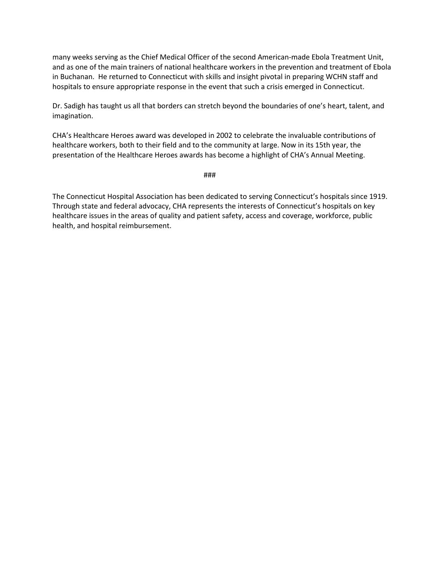many weeks serving as the Chief Medical Officer of the second American-made Ebola Treatment Unit, and as one of the main trainers of national healthcare workers in the prevention and treatment of Ebola in Buchanan. He returned to Connecticut with skills and insight pivotal in preparing WCHN staff and hospitals to ensure appropriate response in the event that such a crisis emerged in Connecticut.

Dr. Sadigh has taught us all that borders can stretch beyond the boundaries of one's heart, talent, and imagination.

CHA's Healthcare Heroes award was developed in 2002 to celebrate the invaluable contributions of healthcare workers, both to their field and to the community at large. Now in its 15th year, the presentation of the Healthcare Heroes awards has become a highlight of CHA's Annual Meeting.

###

The Connecticut Hospital Association has been dedicated to serving Connecticut's hospitals since 1919. Through state and federal advocacy, CHA represents the interests of Connecticut's hospitals on key healthcare issues in the areas of quality and patient safety, access and coverage, workforce, public health, and hospital reimbursement.